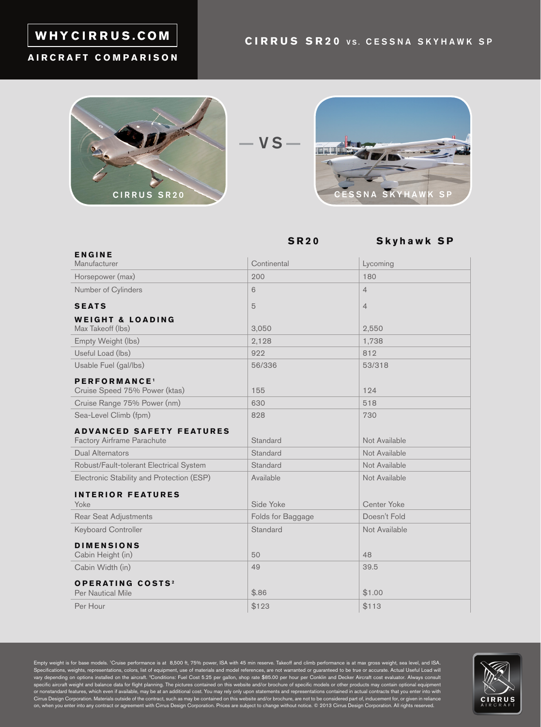# WHYCIRRUS.COM

#### **AIRCRAFT COMPARISON**



$$
- \mathbf{vs} -
$$



**SR20 Skyhawk SP**

| <b>ENGINE</b>                             |                   |                    |
|-------------------------------------------|-------------------|--------------------|
| Manufacturer                              | Continental       | Lycoming           |
| Horsepower (max)                          | 200               | 180                |
| Number of Cylinders                       | 6                 | $\overline{4}$     |
| <b>SEATS</b>                              | 5                 | $\overline{4}$     |
| <b>WEIGHT &amp; LOADING</b>               |                   |                    |
| Max Takeoff (lbs)                         | 3,050             | 2,550              |
| Empty Weight (lbs)                        | 2,128             | 1,738              |
| Useful Load (lbs)                         | 922               | 812                |
| Usable Fuel (gal/lbs)                     | 56/336            | 53/318             |
| PERFORMANCE <sup>1</sup>                  |                   |                    |
| Cruise Speed 75% Power (ktas)             | 155               | 124                |
| Cruise Range 75% Power (nm)               | 630               | 518                |
| Sea-Level Climb (fpm)                     | 828               | 730                |
| <b>ADVANCED SAFETY FEATURES</b>           |                   |                    |
| <b>Factory Airframe Parachute</b>         | Standard          | Not Available      |
| <b>Dual Alternators</b>                   | Standard          | Not Available      |
| Robust/Fault-tolerant Electrical System   | Standard          | Not Available      |
| Electronic Stability and Protection (ESP) | Available         | Not Available      |
| <b>INTERIOR FEATURES</b>                  |                   |                    |
| Yoke                                      | Side Yoke         | <b>Center Yoke</b> |
| Rear Seat Adjustments                     | Folds for Baggage | Doesn't Fold       |
| <b>Keyboard Controller</b>                | Standard          | Not Available      |
| <b>DIMENSIONS</b>                         |                   |                    |
| Cabin Height (in)                         | 50                | 48                 |
| Cabin Width (in)                          | 49                | 39.5               |
| <b>OPERATING COSTS<sup>2</sup></b>        |                   |                    |
| <b>Per Nautical Mile</b>                  | \$.86             | \$1.00             |
| Per Hour                                  | \$123             | \$113              |

Empty weight is for base models. 'Cruise performance is at 8,500 ft, 75% power, ISA with 45 min reserve. Takeoff and climb performance is at max gross weight, sea level, and ISA.<br>Specifications, weights, representations, c